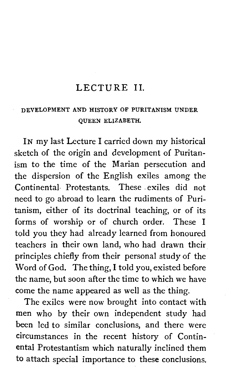## LECTURE **11.**

#### DEVELOPMENT AND HISTORY OF PURITANISM UNDER QUEEN ELIZABETH.

IN my last Lecture I carried down my historical sketch of the origin and development of Puritanism to the time of the Marian persecution and the dispersion of the English exiles among the Continental Protestants. These exiles did not need to go abroad to learn the rudiments of Puritanism, either of its doctrinal teaching, or of its forms of worship or of church order. These I told you they had already learned from honoured teachers in their own land, who had drawn their principles chiefly from their personal study of the Word of God. The thing, I told you, existed before the name, but soon after the time to which we have come the name appeared as well as the thing.

The exiles were now brought into contact with men who by their own independent study had been led to similar conclusions, and there were circumstances in the recent history of Continental Protestantism which naturally inclined them **to** attach special importance to these conclusions.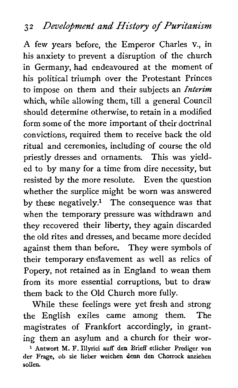**3 2** *Develojment* **and History of Puritanism** 

**A** few years before, the Emperor Charles V., in his anxiety to prevent a disruption of the church in Germany, had endeavoured at the moment of his political triumph over the Protestant Princes to impose on them and their subjects an **Interim**  which, while allowing them, till a general Council should determine otherwise, to retain in a modified form some of the more important of their doctrinal convictions, required them to receive back the old ritual and ceremonies, including of course the old priestly dresses and ornaments. This was yielded to by many for a time from dire necessity, but resisted by the more resolute. Even the question whether the surplice might be worn was answered by these negatively.<sup>1</sup> The consequence was that when the temporary pressure was withdrawn and they recovered their liberty, they again discarded the old rites and dresses, and became more decided against them than before. They were symbols of their temporary enslavement as well as relics of Popery, not retained as in England to wean them from its more essential corruptions, but to draw them back to the Old Church more fully.

While these feelings were yet fresh and strong the English exiles came among them. The magistrates of Frankfort accordingly, in granting them an asylum and a church for their wor-**Antwort M. F. Illyrici auff den Brieff etlicher Prediger von der Frage, ob sie lieber weichen denn den Chorrock anziehen sollen.**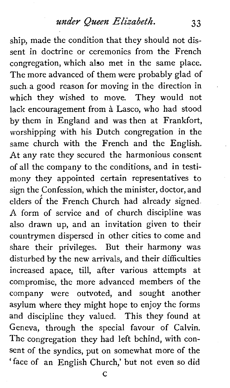*under Queen Elizabeth.*   $33$ 

ship, made the condition that they should not dissent in doctrine or ceremonies from the French congregation, which also met in the same place. The more advanced of them were probably glad of such a good reason for moving in the direction in which they wished to move. They would not lack encouragement from à Lasco, who had stood by them in England and was then at Frankfort, worshipping with his Dutch congregation in the same church with the French and the English. At any rate they secured the harmonious consent of all the company to the conditions, and in testimony they appointed certain representatives to sign the Confession, which the minister, doctor, and elders of the French Church had already signed A form of service and of church discipline was also drawn up, and an invitation given to their countrymen dispersed in other cities to come and share their privileges. But their harmony was disturbed by the new arrivals, and their difficulties increased apace, till, after various attempts at compromise, the more advanced members of the company were outvoted, and sought another asylum where they might hope to enjoy the forms and discipline they valued. This they found at Geneva, through the special favour of Calvin. The congregation they had left behind, with consent of the syndics, put on somewhat more of the 'face of an English Church,' but not even so did

*c*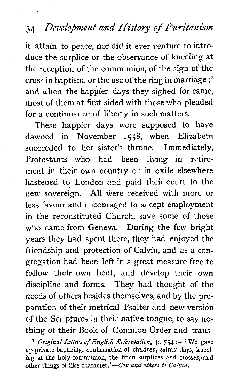# **34** *Development and History of Puritanism*

it attain to peace, nor did it ever venture to introduce the surplice or the observance of kneeling at the reception of the communion, of the sign of the cross in baptism, or the use of the ring in marriage;<sup>1</sup> and when the happier days they sighed for came, most of them at first sided with those who pleaded for a continuance of liberty in such matters.

These happier days were supposed to have dawned in November 1558, when Elizabeth succeeded to her sister's throne. Immediately, Protestants who had been living in retirement in their own country or in exile elsewhere hastened to London and paid their court to the new sovereign. All were received with more or less favour and encouraged to accept employment in the reconstituted Church, save some of those who came from Geneva. During the few bright years they had spent there, they had enjoyed the friendship and protection of Calvin, and as a congregation had been left in a great measure free to follow their own bent, and develop their own discipline and forms. They had thought of the needs of others besides themselves, and by the preparation of their metrical Psalter and new version of the Scriptures in their native tongue, to say nothing of their Book of Common Order and trans-

<sup>1</sup> Original Letters of *English Reformation*, p. 754 :- 'We gave up private baptizing, confirmation of children, saints' days, kneeling at the holy communion, the linen surplices and crosses, and other things of like character.'-Cox and others to Calvin.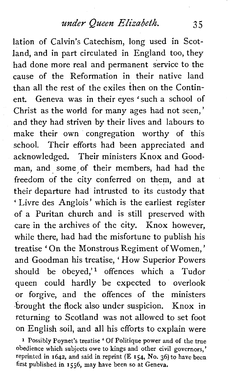## *under Queen Elizabeth.* **3 5**

lation of Calvin's Catechism, long used in Scotland, and in part circulated in England too, they had done more real and permanent service to the cause of the Reformation in their native land than all the rest of the exiles then on the Continent. Geneva was in their eyes 'such a school of Christ as the world for many ages had not seen, ' and they had striven by their lives and labours to make their own congregation worthy of this school. Their efforts had been appreciated and acknowledged. Their ministers Knox and Goodman, and some of their members, had had the freedom of the city conferred on them, and at their departure had intrusted to its custody that 'Livre des Anglois' which is the earliest register of a Puritan church and is still preserved with care in the archives of the city. Knox however, while there, had had the misfortune to publish his treatise ' On the Monstrous Regiment of Women, ' and Goodman his treatise, ' How Superior Powers should be obeyed,' $1$  offences which a Tudor queen could hardly be expected to overlook or forgive, and the offences of the ministers .brought the flock also under suspicion. Knox in returning to Scotland was not allowed to set foot on English soil, and all his efforts to explain were

**<sup>1</sup>**Possibly Poynet's treatise ' Of Politique power and of the true obedience which subjects owe to kings and other civil governors,' reprinted in 1642, and said in reprint (E **154,** No. 36) to have been first published in **15** 56, may have been so at Geneva.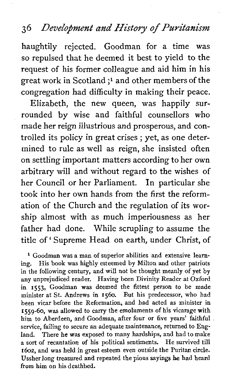# **3 6** *Devel@ment* **and History of Puritanism**

haughtily rejected. Goodman for a time was so repulsed that he deemed it best to yield to the request of his former colleague and aid him in his great work in Scotland **;l** and other members of the congregation had difficulty in making their peace.

Elizabeth, the new queen, was happily surrounded by wise and faithful counsellors who made her reign illustrious and prosperous, and controlled its policy in great crises ; yet, as one determined to rule as well as reign, she insisted often on settling important matters according to her own arbitrary will and without regard to the wishes of her Council or her Parliament. In particular she took into her own hands from the first the reformation of the Church and the regulation of its worship almost with as much imperiousness as her father had done. While scrupling to assume the title of ' Supreme Head on earth, under Christ, of

<sup>1</sup> Goodman was a man of superior abilities and extensive learning. His book was highly esteemed by Milton and other patriots in the following century, and will not be thought meanly of yet by any unprejudiced reader. Having been Divinity Reader at Oxford in **1553,** Goodman was deemed the fittest person to be made minister at St. Andrews in 1560. But his predecessor, who had been vicar before the Reformation, and had acted as minister in **1559-60, was** allowed to carry the emoluments of his vicarage with him to Aberdeen, and Goodman, after four or five years' faithful service, failing to secure an adequate maintenance, returned to England. There he **was** exposed to many hardships, and had to make a sort of recantation of his political sentiments. He survived till 1602, and was held in great esteem even outside the Puritan circle. Ussher long treasured **and** repeated the pious sayings he had heard from him on his deathbed.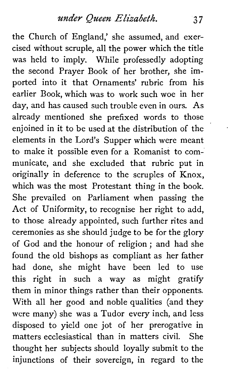the Church of England,' she assumed, and exercised without scruple, all the power which the title was held to imply. While professedly adopting the second Prayer Book of her brother, she imported into it that Ornaments' rubric from his earlier Book, which was to work such woe in her day, and has caused such trouble even in ours. As already mentioned she prefixed words to those enjoined in it to be used at the distribution of the elements in the Lord's Supper which were meant to make it possible even for a Romanist to communicate, and she excluded that rubric put in originally in deference to the scruples of Knox, which was the most Protestant thing in the book. She prevailed on Parliament when passing the Act of Uniformity, to recognise her right to add, to those already appointed, such further rites and ceremonies as she should judge to be for the glory of God and the honour of religion ; and had she found the old bishops as compliant as her father had done, she might have been led to use this right in such a way as might gratify them in minor things rather than their opponents. With all her good and noble qualities (and they were many) she was a Tudor every inch, and less disposed to yield one jot of her prerogative in matters ecclesiastical than in matters civil. She thought her subjects should loyally submit to the injunctions of their sovereign, in regard to the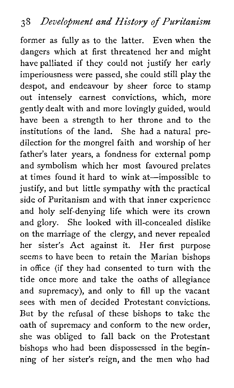former as fully as to the latter. Even when the dangers which at first threatened her and might have palliated if they could not justify her early imperiousness were passed, she could still play the despot, and endeavour by sheer force to stamp out intensely earnest convictions, which, more gently dealt with and more lovingly guided, would have been a strength to her throne and to the institutions of the land. She had a natural predilection for the mongrel faith and worship of her father's later years, a fondness for external pomp and symbolism which her most favoured prelates at times found it hard to wink at-impossible to justify, and but little sympathy with the practical side of Puritanism and with that inner experience and holy self-denying life which were its crown and glory. She looked with ill-concealed dislike on the marriage of the clergy, and never repealed her sister's Act against it. Her first purpose seems to have been to retain the Marian bishops in office (if they had consented to turn with the tide once more and take the oaths of allegiance and supremacy), and only to fill up the vacant sees with men of decided Protestant convictions. But by the refusal of these bishops to take the oath of supremacy and conform to the new order, she was obliged to fall back on the Protestant bishops who had been dispossessed in the beginning of her sister's reign, and the men who had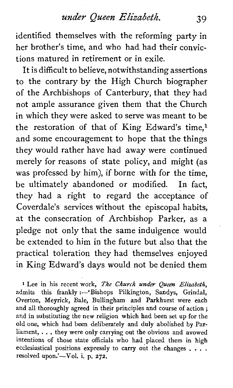identified themselves with the reforming party in her brother's time, and who had. had their convictions matured in retirement or in exile.

It is difficult to believe, notwithstanding assertions to the contrary by the High Church biographer of the Archbishops of Canterbury, that they had not ample assurance given them that the Church in which they were asked to serve was meant to be the restoration of that of King Edward's time,<sup>1</sup> and some encouragement to hope that the things they would rather have had away were continued merely for reasons of state policy, and might (as was professed by him), if borne with for the time, be ultimately abandoned or modified. In fact, they had a right to regard the acceptance of Coverdale's services without the episcopal habits, at the consecration of Archbishop Parker, as a pledge not only that the same indulgence would be extended to him in the future but also that the practical toleration they had themselves enjoyed in King Edward's days would not be denied them

**<sup>1</sup>**Lee in his recent work, The Church **under** *Queen* **Elizabeth,**  admits this frankly :- 'Bishops Pilkington, Sandys, Grindal, Overton, Meyrick, Bale, Bullingham and Parkhurst were each and all thoroughly agreed in their principles and course of action ; and in substituting the new religion which had been set up for the old one, which had been deliberately and duly abolished by Parliament, . . . they were only carrying out the obvious and avowed intentions of those state officials who had placed them in high ecclesiastical positions expressly to carry out the changes . . . . resolved upon.'-Vol. **i.** p. 272.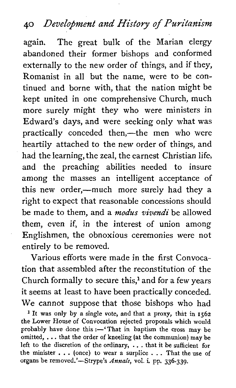## **40** *Development and History* **of** *Puritanism*

again. The great bulk of the Marian clergy abandoned their former bishops and conformed externally to the new order of things, and if they, Romanist in all but the name, were to be continued and borne with, that the nation might be kept united in one comprehensive Church, much more surely might they who were ministers in Edward's days, and were seeking only what was practically conceded then,—the men who were heartily attached to the new order of things, and had the learning, the zeal, the earnest Christian life, and the preaching abilities needed to insure among the masses an intelligent acceptance of this new order,—much more surely had they a right to expect that reasonable concessions should be made to them, and a *modus vivendi* be allowed them, even if, in the interest of union among Englishmen, the obnoxious ceremonies were not entirely to be removed.

Various efforts were made in the first Convocation that assembled after the reconstitution of the Church formally to secure this,<sup>1</sup> and for a few years it seems at least to have been practically conceded. We cannot suppose that those bishops who had

**<sup>1</sup>**It was only by a single vote, and that a proxy, that in 1562 the Lower House of Convocation rejected proposals which would probably have done this :- 'That in baptism the cross may be omitted, . . . that the order of kneeling (at the communion) may be left to the discretion of the ordinary, . . . that it be sufficient for the minister  $\ldots$  (once) to wear a surplice  $\ldots$ . That the use of organs be removed.'-Strype's Annals, vol. **i** pp. 336-339.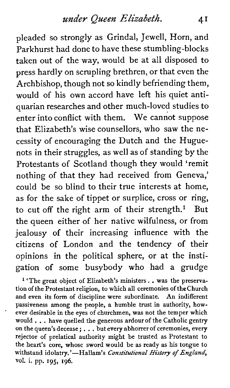pleaded so strongly as Grindal, Jewell, Horn, and Parkhurst had done to have these stumbling-blocks taken out of the way, would be at all disposed to press hardly on scrupling brethren, or that even the Archbishop, though not so kindly befriending them, would of his own accord have left his quiet antiquarian researches and other much-loved studies to enter into conflict with them. We cannot suppose that Elizabeth's wise counsellors, who saw the necessity of encouraging the Dutch and the Huguenots in their struggles, as well as of standing by the Protestants of Scotland though they would 'remit nothing of that they had received from Geneva,' could be so blind to their true interests at home, as for the sake of tippet or surplice, cross or ring, to cut off the right arm of their strength.<sup>1</sup> But the queen either of her native wilfulness, or from jealousy of their increasing influence with the citizens of London and the tendency of their opinions in the political sphere, or at the instigation of some busybody who had **a** grudge

**l** 'The great object of Elizabeth's ministers. . was the preservation of the Protestant religion, to which all ceremonies of the Church and even its form of discipline were subordinate. An indifferent passiveness among the people, a humble trust in authority, however desirable in the eyes of churchmen, was not the temper which would . . . have quelled the generous ardour of the Catholic gentry on the queen's decease ; . . . but every abhorrer of ceremonies, every rejector of prelatical authority might be trusted as Protestant to the heart's core, whose sword would be as ready as his tongue to withstand idolatry.'-Hallam's Constitutional History of England, vol. i. pp. 195, 196.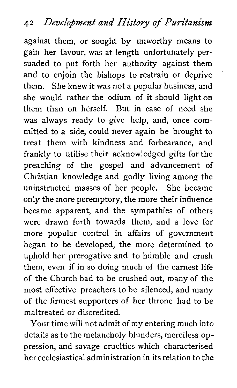against them, or sought by unworthy means to gain her favour, was at length unfortunately persuaded to put forth her authority against them and to enjoin the bishops to restrain or deprive them. She knew it was not a popular business, and she would rather the odium of it should light on them than on herself. But in case of need she was always ready to give help, and, once committed to a side, could never again be brought to treat them with kindness and forbearance, and frankly to utilise their acknowledged gifts for the preaching of the gospel and advancement of Christian knowledge and godly living among the uninstructed masses of her people. She became only the more peremptory, the more their influence became apparent, and the sympathies of others were drawn forth towards them, and a love for more popular control in affairs of government began to be developed, the more determined to uphold her prerogative and to humble and crush them, even if in so doing much of the earnest life of the Church had to be crushed out, many of the most effective preachers to be silenced, and many of the firmest supporters of her throne had to be maltreated or discredited.

Your time will not admit of **my** entering much into details as to the melancholy blunders, merciless oppression, and savage cruelties which characterised her ecclesiastical administration in its relation to the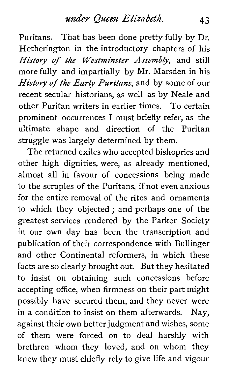#### *under* Queen *Elizabeth.*  43

Puritans. That has been done pretty fully by Dr. Hetherington in the introductory chapters of his History of the Westminster Assembly, and still more fully and impartially by Mr. Marsden in his History of the Early Puritans, and by some of our recent secular historians, as well as by Neale and other Puritan writers in earlier times. To certain prominent occurrences I must briefly refer, as the ultimate shape and direction of the Puritan struggle was largely determined by them.

The returned exiles who accepted bishoprics and other high dignities, were, as already mentioned, almost all in favour of concessions being made to the scruples of the Puritans, if not even anxious for the entire removal of the rites and ornaments to which they objected ; and perhaps one of the greatest services rendered by the Parker Society in our own day has been the transcription and publication of their correspondence with Bullinger and other Continental reformers, in which these facts are so clearly brought out. But they hesitated to insist on obtaining such concessions before accepting office, when firmness on their part might possibly have secured them, and they never were in a condition to insist on them afterwards. Nay, against their own better judgment and wishes, some of them were forced on to deal harshly with brethren whom they loved, and on whom they knew they must chiefly rely to give life and vigour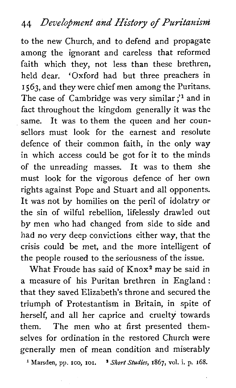to the new Church, and to defend and propagate among the ignorant and careless that reformed faith which they, not less than these brethren, held dear. 'Oxford had but three preachers in **1563,** and they were chief men among the Puritans. The case of Cambridge was very similar **;'l** and in fact throughout the kingdom generally it was the same. It was to them the queen and her counsellors must look for the earnest and resolute defence of their common faith, in the only way in which access could be got for it to the minds of the unreading masses. It was to them she must look for the vigorous defence of her own rights against Pope and Stuart and all opponents. It was not by homilies on the peril of idolatry or the sin of wilful rebellion, lifelessly drawled out by men who had changed from side to side and had no very deep convictions either way, that the crisis could be met, and the more intelligent of the people roused to the seriousness of the issue.

What Froude has said of Knox<sup>2</sup> may be said in a measure of his Puritan brethren in England : that they saved Elizabeth's throne and secured the triumph of Protestantism in Britain, in spite of herself, and all her caprice and cruelty towards them. The men who at first presented themselves for ordination in the restored Church were generally men of mean condition and miserably

**hlarsden, pp. ico, 101. Short** *Studies,* **1867, vol.** i. **p. 168.**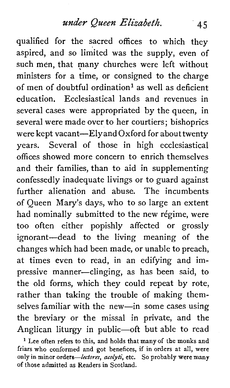qualified for the sacred offices to which they aspired, and so limited was the supply, even of such men, that many churches were left without ministers for a time, or consigned to the charge of men of doubtful ordination1 as well as deficient education. Ecclesiastical lands and revenues in several cases were appropriated by the queen, in several were made over to her courtiers; bishoprics were kept vacant-Ely and Oxford for about twenty years. Several of those in high ecclesiastical offices showed more concern to enrich themselves and their families, than to aid in supplementing confessedly inadequate livings or to guard against further alienation and abuse. The incumbents of Queen Mary's days, who to so large an extent had nominally submitted to the new régime, were too often either popishly affected or grossly ignorant-dead to the living meaning of the changes which had been made, or unable to preach, at times even to read, in an edifying and impressive manner-clinging, as has been said, to the old forms, which they could repeat by rote, rather than taking the trouble of making themselves familiar with the new-in some cases using the breviary or the missal in private, and the Anglican liturgy in public-oft but able to read

<sup>&</sup>lt;sup>1</sup> Lee often refers to this, and holds that many of the monks and friars who conformed and got benefices, if in orders at all, were only in minor orders—lectores, acolyti, etc. So probably were many of those admitted as Readers in Scotland.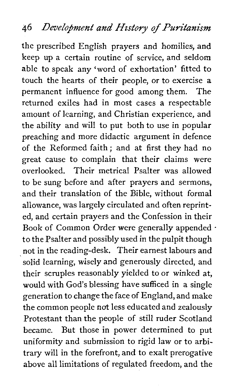the prescribed English prayers and homilies, and keep up a certain routine of service, and seldom able to speak any 'word of exhortation' fitted to touch the hearts of their people, or to exercise a permanent influence for good among them. The returned exiles had in most cases a respectable amount of learning, and Christian experience, and the ability and will to put both to use in popular preaching and more didactic argument in defence of the Reformed faith; and at first they had no great cause to complain that their claims were overlooked. Their metrical Psalter was allowed to be sung before and after prayers and sermons, and their translation of the Bible, without formal allowance, was largely circulated and often reprinted, and certain prayers and the Confession in their Book of Common Order were generally appended  $\cdot$ to the Psalter and possibly used in the pulpit though not in the reading-desk. Their earnest labours and solid learning, wisely and generously directed, and their scruples reasonably yielded to or winked at, would with God's blessing have sufficed in a single generation to change the face of England, and make the common people **not** less educated and zealously Protestant than the people of still ruder Scotland became. But those in power determined to put uniformity and submission to rigid law or to arbitrary will in the forefront, and to exalt prerogative above all limitations of regulated freedom, and the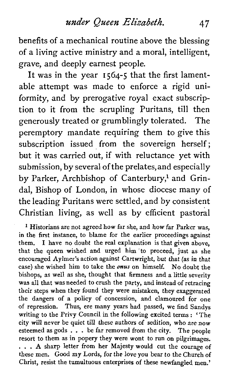benefits of a mechanical routine above the blessing of a living active ministry and a moral, intelligent, grave, and deeply earnest people.

It was in the year **1564-5** that the first lamentable attempt was made to enforce a rigid uniformity, and by prerogative royal exact subscription to it from the scrupling Puritans, till then generously treated or grumblingly tolerated. The peremptory mandate requiring them to give this subscription issued from the sovereign herself; but it was carried out, if with reluctance yet with submission, by several of the prelates,and especially by Parker, Archbishop of Canterbury,<sup>1</sup> and Grindal, Bishop of London, in whose diocese many of the leading Puritans were settled, and by consistent Christian living, as well as by efficient pastoral

**1** Historians are not agreed how far she, and how far Parker was, in the first instance, to blame for the earlier proceedings against them. I have no doubt the real explanation is that given above, that the queen wished and urged him 'to proceed, just as she encouraged Aylmer's action against Cartwright, but that (as in that case) she wished him to take the **onus** on himself. No doubt the bishops, as well as she, thought that firmness and a little severity was all that was needed to crush the party, and instead of retracing their steps when they found they were mistaken, they exaggerated the dangers of a policy of concession, and clamoured for one of repression. Thus, ere many years had passed, we find Sandys writing to the Privy Council in the following excited terms : 'The city will never be quiet till these authors of sedition, who are now esteemed as gods . . . be far removed from the city. The people resort to them as in popery they were wont to run on pilgrimages. ... A sharp letter from her Majesty would cut the courage of these men. Good my Lords, for the love you bear to the Church of Christ, resist the tumultuous enterprises of these newfangled men.'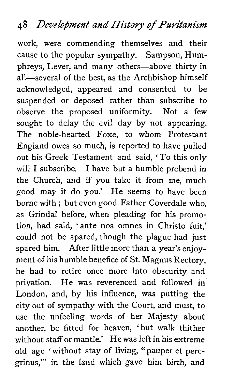work, were commending themselves and their cause to the popular sympathy. Sampson, Humphreys, Lever, and many others-above thirty in all—several of the best, as the Archbishop himself acknowledged, appeared and consented to be suspended or deposed rather than subscribe to observe the proposed uniformity. Not a few sought to delay the evil day by not appearing. The noble-hearted Foxe, to whom Protestant England owes so much, is reported to have pulled out his Greek Testament and said, ' To this only will I subscribe. I have but a humble prebend in the Church, and if you take it from me, much good may it do you.' He seems to have been borne with ; but even good Father Coverdale who, as Grindal before, when pleading for his promotion, had said, 'ante nos omnes in Christo fuit,' could not be spared, though the plague had just spared him. After little more than a year's enjoyment of his humble benefice of St. Magnus Rectory, he had to retire once more into obscurity and privation. He was reverenced and followed in London, and, by his influence, was putting the city out of sympathy with the Court, and must, to use the unfeeling words of her Majesty about another, be fitted for heaven, 'but walk thither without staff or mantle.' He was left in his extreme old age 'without stay of living, " pauper et peregrinus,'" in the land which gave him birth, and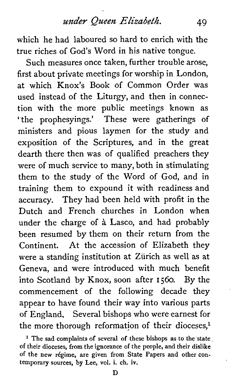# *under Queen Elizabeth. 49*

which he had laboured so hard to enrich with the true riches of God's Word in his native tongue.

Such measures once taken, further trouble arose, first about private meetings for worship in London, at which Knox's Book of Common Order was used instead of the Liturgy, and then in connection with the more public meetings known as ' the prophesyings.' These were gatherings of ministers and pious laymen for the study and exposition of the Scriptures, and in the great dearth there then was of qualified preachers they were of much service to many, both in stimulating them to the study of the Word of God, and in training them to expound it with readiness and accuracy. They had been held with profit in the Dutch and French churches in London when under the charge of **A** Lasco, and had probably been resumed by them on their return from the Continent. At the accession of Elizabeth they were a standing institution at Zürich as well as at Geneva, and were introduced with much benefit into Scotland by Knox, soon after 1560. By the commencement of the following decade they appear to have found their way into various parts of England. Several bishops who were earnest for the more thorough reformation of their dioceses,<sup>1</sup>

<sup>&</sup>lt;sup>1</sup> The sad complaints of several of these bishops as to the state of their dioceses, from the ignorance of the people, and their dislike of the new régime, are given from State Papers and other contemporary sources, by Lee, vol. **i.** ch. iv.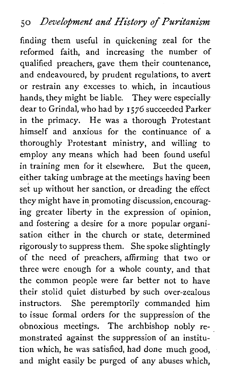finding them useful in quickening zeal for the reformed faith, and increasing the number of qualified preachers, gave them their countenance, and endeavoured, by prudent regulations, to avert or restrain any excesses to which, in incautious hands, they might be liable. They were especially dear to Grindal, who had by **1576** succeeded Parker in the primacy. He was a thorough Protestant himself and anxious for the continuance of a thoroughly Protestant ministry, and willing to employ any means which had been found useful in training men for it elsewhere. But the queen, either taking umbrage at the meetings having been set up without her sanction, or dreading the effect they might have in promoting discussion, encouraging greater liberty in the expression of opinion, and fostering a desire for a more popular organisation either in the church or state, determined rigorously to suppress them. She spoke slightingly of the need of preachers, affirming that two or three were enough for a whole county, and that the common people were far better not to have their stolid quiet disturbed by such over-zealous instructors. She peremptorily commanded him to issue formal orders for the suppression of the obnoxious meetings. The archbishop nobly remonstrated against the suppression of an institution which, he was satisfied, had done much good, and might easily be purged of any abuses which,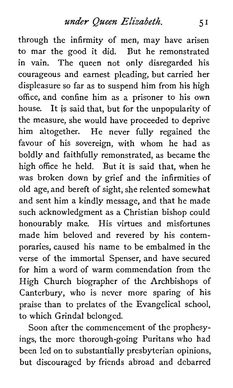through the infirmity of men, may have arisen to mar the good it did. But he remonstrated in vain. The queen not only disregarded his courageous and earnest pleading, but carried her displeasure so far as to suspend him from his high office, and confine him as a prisoner to his own house. It **is** said that, but for the unpopularity of the measure, she would have proceeded to deprive him altogether. He never fully regained the favour of his sovereign, with whom he had as boldly and faithfully remonstrated, as became the high office he held. But it is said that, when he was broken down by grief and the infirmities of old age, and bereft of sight, she relented somewhat and sent him a kindly message, and that he made such acknowledgment as a Christian bishop could honourably make. His virtues and misfortunes made him beloved and revered by his contemporaries, caused his name to be embalmed in the verse of the immortal Spenser, and have secured for him a word of warm commendation from the High Church biographer of the Archbishops of Canterbury, who is never more sparing of his praise than to prelates of the Evangelical school, to which Grindal belonged.

Soon after the commencement of the prophesyings, the more thorough-going Puritans who had been led on to substantially presbyterian opinions, but discouraged by friends abroad and debarred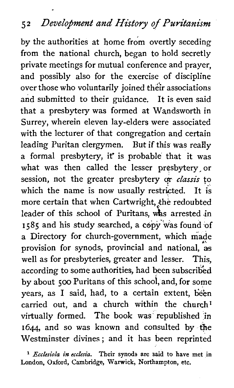by the authorities at home from overtly seceding from the national church, began to hold secretly private meetings for mutual conference and prayer, and possibly also for the exercise of discipline over those who voluntarily joined their associations and submitted to their guidance. It is even said that a presbytery was formed at Wandsworth in Surrey, wherein eleven lay-elders were associated with the lecturer of that congregation and certain leading Puritan clergymen. But if this was really a formal presbytery, it' is probable that it was what was then called the lesser presbytery,or session, not the greater presbytery **or** classis to which the name is now usually restricted. It is more certain that when Cartwright, the redoubted leader of this school of Puritans, was arrested in 1585 and his study searched, a copy was found of a Directory for church-government, which made provision for synods, provincial and national, **as**  well as for presbyteries, greater and lesser. This, according to some authorities, had been subscribed by about 500 Puritans of this school, and, for some years, as I said, had, to a certain extent, been carried out, and a church within the church' virtually formed. The book was republished in 1644, and so was known and consulted by the Westminster divines ; and it has been reprinted

**l** *Ecclesiola in ecclesia.* **Their** synods **are** said to **have met** in London, Oxford, Cambridge, Warwick, Northampton, etc.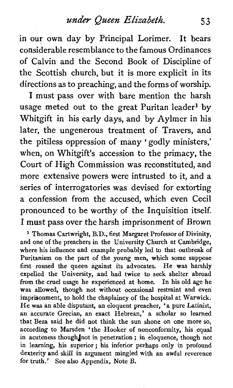in our own day by Principal Lorimer. It bears considerable resemblance to the famous Ordinances of Calvin and the Second Book of Discipline of the Scottish church, but it is more explicit in its directions as to preaching, and the forms of worship.

I must pass over with bare mention the harsh usage meted out to the great Puritan leader<sup>1</sup> by Whitgift in his early days, and by Aylmer in his later, the ungenerous treatment of Travers, and the pitiless oppression of many ' godly ministers,' when, on Whitgift's accession to the primacy, the Court of High Commission was reconstituted, and more extensive powers were intrusted to it, and a series of interrogatories was devised for extorting a confession from the accused, which even Cecil pronounced to be worthy of the Inquisition itself. I must pass over the harsh imprisonment of Brown

**l** Thomas Cartwright, B.D., first Margaret Professor of Divinity, and one of the preachers in the University Church at Cambridge, where his influence and example probably led to that outbreak of Puritanism on the part of the young men, which some suppose first roused the queen against its advocates. He was harshly expelled the University, and had twice to seek shelter abroad from the cruel usage he experienced at home. was allowed, though not without occasional restraint and even imprisonment, to hold the chaplaincy of the hospital at Warwick. He was an able disputant, an eloquent preacher, 'a pure Latinist, an accurate Grecian, an exact Hebrean,' a scholar so learned that Beza said he did not think the sun shone on one more so, according to Marsden 'the Hooker of nonconformity, his equal in acuteness thoughlnot in penetration ; in eloquence, though not in learning, his superior; his inferior perhaps only in profound dexterity and skill in argument mingled with an awful reverence for truth.' See also Appendix, Note B.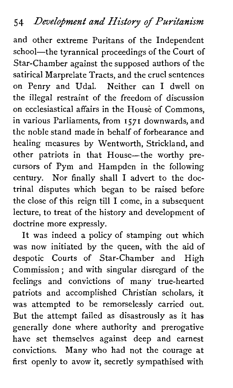and other extreme Puritans of the Independent school—the tyrannical proceedings of the Court of Star-Chamber against the supposed authors of the satirical Marprelate Tracts, and the cruel sentences on Penry and Udal. Neither can I dwell on the illegal restraint of the freedom of discussion on ecclesiastical affairs in the House of Commons, in various Parliaments, from 1571 downwards, and the noble stand made in behalf of forbearance and healing measures by Wentworth, Strickland, and other patriots in that House-the worthy precursors of Pym and Hampden in the following century. Nor finally shall I advert to the doctrinal disputes which began to be raised before the close of this reign till I come, in a subsequent lecture, to treat of the history and development of doctrine more expressly.

It was indeed a policy of stamping out which was now initiated by the queen, with the aid of despotic Courts of Star-Chamber and High Commission ; and with singular disregard of the feelings and convictions of many true-hearted patriots and accomplished Christian scholars, it was attempted to be remorselessly carried out. But the attempt failed as disastrously as it has generally done where authority and prerogative have set themselves against deep and earnest convictions. Many who had not the courage at first openly to avow it, secretly sympathised with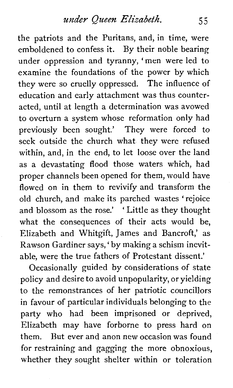the patriots and the Puritans, and, in time, were emboldened to confess it. By their noble bearing under oppression and tyranny, 'men were led to examine the foundations of the power by which they were so cruelly oppressed. The influence of education and early attachment was thus counteracted, until at length a determination was avowed to overturn a system whose reformation only had previously been sought.' They were forced to seek outside the church what they were refused within, and, in the end, to let loose over the land as a devastating flood those waters which, had proper channels been opened for them, would have flowed on in them to revivify and transform the old church, and make its parched wastes 'rejoice and blossom as the rose.' ' Little as they thought what the consequences of their acts would be, Elizabeth and Whitgift, James and Bancroft,' as Rawson Gardiner says, ' by making a schism inevitable, were the true fathers of Protestant dissent.'

Occasionally guided by considerations of state policy and desire to avoid unpopularity, or yielding to the remonstrances of her patriotic councillors in favour of particular individuals belonging to the party who had been imprisoned or deprived, Elizabeth may have forborne to press hard on them. But ever and anon new occasion was found for restraining and gagging the more obnoxious, whether they sought shelter within or toleration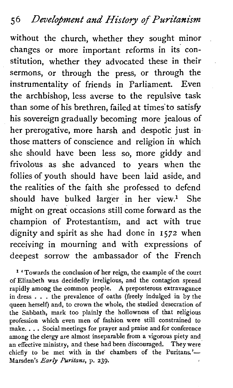without the church, whether they sought minor changes or more important reforms in its constitution, whether they advocated these in their sermons, or through the press, or through the instrumentality of friends in Parliament. Even the archbishop, less averse to the repulsive task than some of his brethren, failed at times to satisfy his sovereign gradually becoming more jealous of her prerogative, more harsh and despotic just in those matters of conscience and religion in which she should have been less so, more giddy and frivolous as she advanced to years when the follies of youth should have been laid aside, and the realities of the faith she professed to defend should have bulked larger in her view.<sup>1</sup> She might on great occasions still come forward as the champion of Protestantism, and act with true dignity and spirit as she had done in **1572** when receiving in mourning and with expressions of deepest sorrow the ambassador of the French

<sup>1</sup> 'Towards the conclusion of her reign, the example of the court of Elizabeth was decidedly irreligious, and the contagion spread rapidly among the common people. **A** preposterous extravagance in dress . . . the prevalence of oaths (freely indulged in by the queen herself) and, to crown the whole, the studied desecration of the Sabbath, mark too plainly the hollowness of that religious profession which even men of fashion were still constrained to make. . . . Social meetings for prayer and praise and for conference among the clergy are almost inseparable from *a* vigorous piety and an effective ministry, and these had been discouraged. They were chiefly to be met with in the chambers of the Puritans.'-Marsden's *Early* **Puritans,** p. **239.**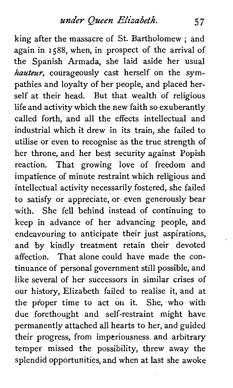king after the massacre of St. Bartholomew ; and again in **I** 588, when, in prospect of the arrival of the Spanish Armada, she laid aside her usual *hauteur,* courageously cast herself on the sympathies and loyalty of her people, and placed herself at their head. But that wealth of religious life and activity which the new faith so exuberantly called forth, and all the effects intellectual and industrial which it drew in its train, she failed to utilise or even to recognise as the true strength of her throne, and her best security against Popish reaction. That growing love of freedom and impatience of minute restraint which religious and intellectual activity necessarily fostered, she failed to satisfy or appreciate, or even generously bear with. She fell behind instead of continuing to keep in advance of her advancing people, and endeavouring to anticipate their just aspirations, and by kindly treatment retain their devoted affection. That alone could have made the continuance of personal government still possible, and like several of her successors in similar crises of our history, Elizabeth failed to realise it, and at the proper time to act on it. She, who with due forethought and self-restraint might have permanently attached all hearts to her, and guided their progress, from imperiousness and arbitrary temper missed the possibility, threw away the splendid opportunities, and when at last she awoke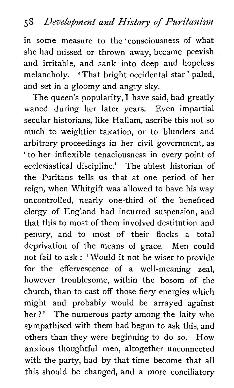in some measure to the consciousness of what she had missed or thrown away, became peevish and irritable, and sank into deep and hopeless melancholy. 'That bright occidental star' paled, and set in a gloomy and angry sky.

The queen's popularity, I have said, had greatly waned during her later years. Even impartial secular historians, like Hallam, ascribe this not so much to weightier taxation, or to blunders and arbitrary proceedings in her civil government, as to her inflexible tenaciousness in every point of ecclesiastical discipline.' The ablest historian of the Puritans tells us that at one period of her reign, when Whitgift was allowed to have his way uncontrolled, nearly one-third of the beneficed clergy of England had incurred suspension, and that this to most of them involved destitution and penury, and to most of their flocks a total deprivation of the means of grace. Men could not fail to ask : ' Would it not be wiser to provide for the effervescence of a well-meaning zeal, however troublesome, within the bosom of the church, than to cast off those fiery energies which might and probably would be arrayed against her?' The numerous party among the laity who sympathised with them had begun to ask this, and others than they were beginning to do so. How anxious thoughtful men, altogether unconnected with the party, had by that time become that all this should be changed, and a more conciliatory